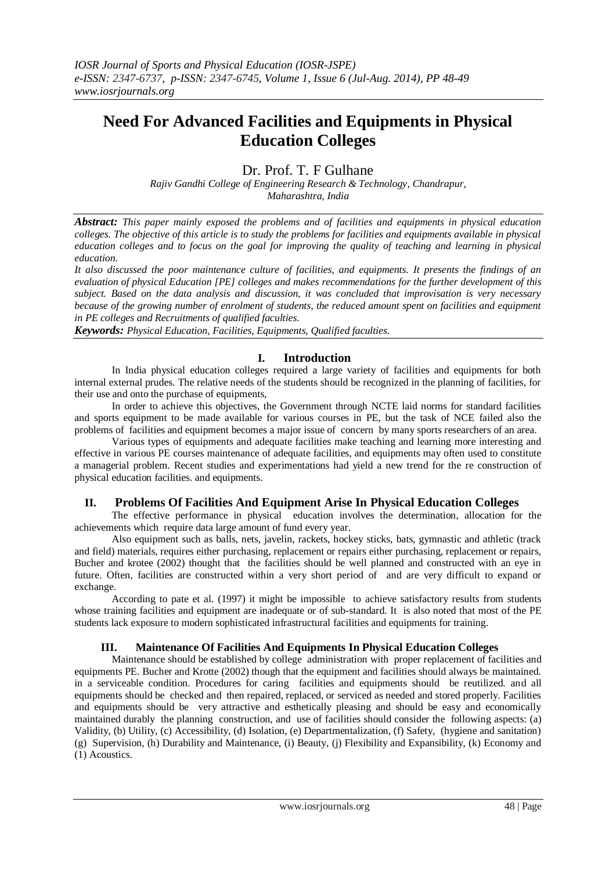# **Need For Advanced Facilities and Equipments in Physical Education Colleges**

Dr. Prof. T. F Gulhane

*Rajiv Gandhi College of Engineering Research & Technology, Chandrapur, Maharashtra, India*

*Abstract: This paper mainly exposed the problems and of facilities and equipments in physical education colleges. The objective of this article is to study the problems for facilities and equipments available in physical education colleges and to focus on the goal for improving the quality of teaching and learning in physical education.* 

*It also discussed the poor maintenance culture of facilities, and equipments. It presents the findings of an evaluation of physical Education [PE] colleges and makes recommendations for the further development of this subject. Based on the data analysis and discussion, it was concluded that improvisation is very necessary because of the growing number of enrolment of students, the reduced amount spent on facilities and equipment in PE colleges and Recruitments of qualified faculties.*

*Keywords: Physical Education, Facilities, Equipments, Qualified faculties.*

## **I. Introduction**

In India physical education colleges required a large variety of facilities and equipments for both internal external prudes. The relative needs of the students should be recognized in the planning of facilities, for their use and onto the purchase of equipments,

In order to achieve this objectives, the Government through NCTE laid norms for standard facilities and sports equipment to be made available for various courses in PE, but the task of NCE failed also the problems of facilities and equipment becomes a major issue of concern by many sports researchers of an area.

Various types of equipments and adequate facilities make teaching and learning more interesting and effective in various PE courses maintenance of adequate facilities, and equipments may often used to constitute a managerial problem. Recent studies and experimentations had yield a new trend for the re construction of physical education facilities. and equipments.

## **II. Problems Of Facilities And Equipment Arise In Physical Education Colleges**

The effective performance in physical education involves the determination, allocation for the achievements which require data large amount of fund every year.

Also equipment such as balls, nets, javelin, rackets, hockey sticks, bats, gymnastic and athletic (track and field) materials, requires either purchasing, replacement or repairs either purchasing, replacement or repairs, Bucher and krotee (2002) thought that the facilities should be well planned and constructed with an eye in future. Often, facilities are constructed within a very short period of and are very difficult to expand or exchange.

According to pate et al. (1997) it might be impossible to achieve satisfactory results from students whose training facilities and equipment are inadequate or of sub-standard. It is also noted that most of the PE students lack exposure to modern sophisticated infrastructural facilities and equipments for training.

# **III. Maintenance Of Facilities And Equipments In Physical Education Colleges**

Maintenance should be established by college administration with proper replacement of facilities and equipments PE. Bucher and Krotte (2002) though that the equipment and facilities should always be maintained. in a serviceable condition. Procedures for caring facilities and equipments should be reutilized. and all equipments should be checked and then repaired, replaced, or serviced as needed and stored properly. Facilities and equipments should be very attractive and esthetically pleasing and should be easy and economically maintained durably the planning construction, and use of facilities should consider the following aspects: (a) Validity, (b) Utility, (c) Accessibility, (d) Isolation, (e) Departmentalization, (f) Safety, (hygiene and sanitation) (g) Supervision, (h) Durability and Maintenance, (i) Beauty, (j) Flexibility and Expansibility, (k) Economy and (1) Acoustics.